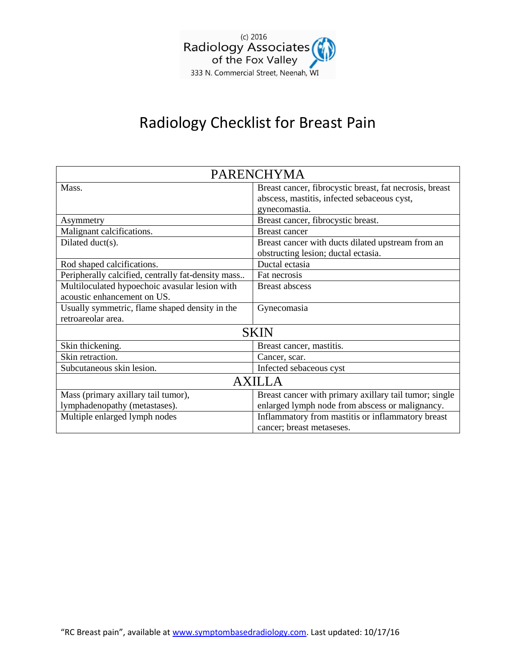

# Radiology Checklist for Breast Pain

| <b>PARENCHYMA</b>                                  |                                                         |
|----------------------------------------------------|---------------------------------------------------------|
| Mass.                                              | Breast cancer, fibrocystic breast, fat necrosis, breast |
|                                                    | abscess, mastitis, infected sebaceous cyst,             |
|                                                    | gynecomastia.                                           |
| Asymmetry                                          | Breast cancer, fibrocystic breast.                      |
| Malignant calcifications.                          | <b>Breast cancer</b>                                    |
| Dilated duct(s).                                   | Breast cancer with ducts dilated upstream from an       |
|                                                    | obstructing lesion; ductal ectasia.                     |
| Rod shaped calcifications.                         | Ductal ectasia                                          |
| Peripherally calcified, centrally fat-density mass | Fat necrosis                                            |
| Multiloculated hypoechoic avasular lesion with     | <b>Breast abscess</b>                                   |
| acoustic enhancement on US.                        |                                                         |
| Usually symmetric, flame shaped density in the     | Gynecomasia                                             |
| retroareolar area.                                 |                                                         |
| <b>SKIN</b>                                        |                                                         |
| Skin thickening.                                   | Breast cancer, mastitis.                                |
| Skin retraction.                                   | Cancer, scar.                                           |
| Subcutaneous skin lesion.                          | Infected sebaceous cyst                                 |
| AXILLA                                             |                                                         |
| Mass (primary axillary tail tumor),                | Breast cancer with primary axillary tail tumor; single  |
| lymphadenopathy (metastases).                      | enlarged lymph node from abscess or malignancy.         |
| Multiple enlarged lymph nodes                      | Inflammatory from mastitis or inflammatory breast       |
|                                                    | cancer; breast metaseses.                               |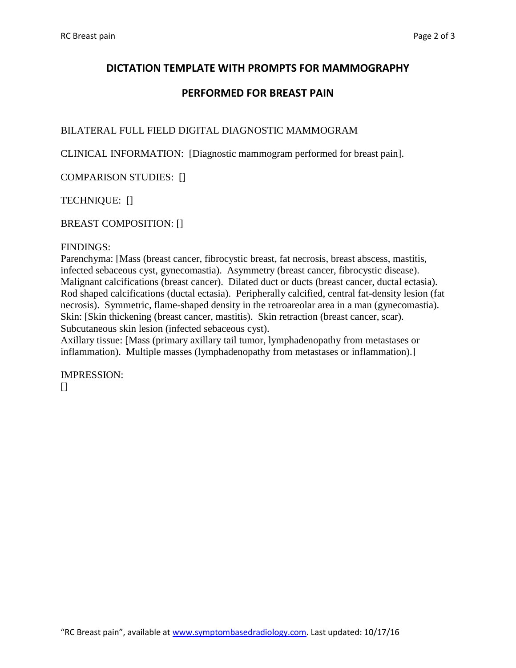## **DICTATION TEMPLATE WITH PROMPTS FOR MAMMOGRAPHY**

## **PERFORMED FOR BREAST PAIN**

### BILATERAL FULL FIELD DIGITAL DIAGNOSTIC MAMMOGRAM

CLINICAL INFORMATION: [Diagnostic mammogram performed for breast pain].

COMPARISON STUDIES: []

TECHNIQUE: []

BREAST COMPOSITION: []

#### FINDINGS:

Parenchyma: [Mass (breast cancer, fibrocystic breast, fat necrosis, breast abscess, mastitis, infected sebaceous cyst, gynecomastia). Asymmetry (breast cancer, fibrocystic disease). Malignant calcifications (breast cancer). Dilated duct or ducts (breast cancer, ductal ectasia). Rod shaped calcifications (ductal ectasia). Peripherally calcified, central fat-density lesion (fat necrosis). Symmetric, flame-shaped density in the retroareolar area in a man (gynecomastia). Skin: [Skin thickening (breast cancer, mastitis). Skin retraction (breast cancer, scar). Subcutaneous skin lesion (infected sebaceous cyst).

Axillary tissue: [Mass (primary axillary tail tumor, lymphadenopathy from metastases or inflammation). Multiple masses (lymphadenopathy from metastases or inflammation).]

IMPRESSION:  $\prod$